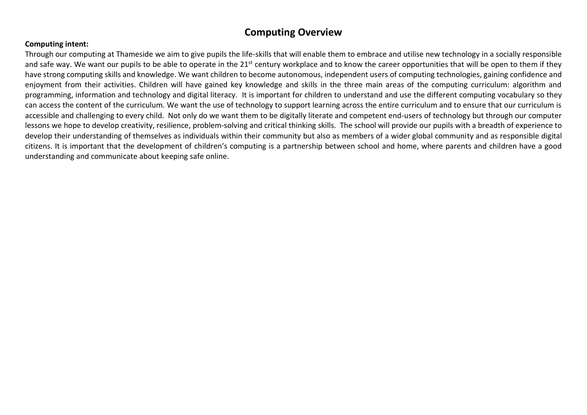# **Computing Overview**

#### **Computing intent:**

Through our computing at Thameside we aim to give pupils the life-skills that will enable them to embrace and utilise new technology in a socially responsible and safe way. We want our pupils to be able to operate in the  $21^{st}$  century workplace and to know the career opportunities that will be open to them if they have strong computing skills and knowledge. We want children to become autonomous, independent users of computing technologies, gaining confidence and enjoyment from their activities. Children will have gained key knowledge and skills in the three main areas of the computing curriculum: algorithm and programming, information and technology and digital literacy. It is important for children to understand and use the different computing vocabulary so they can access the content of the curriculum. We want the use of technology to support learning across the entire curriculum and to ensure that our curriculum is accessible and challenging to every child. Not only do we want them to be digitally literate and competent end-users of technology but through our computer lessons we hope to develop creativity, resilience, problem-solving and critical thinking skills. The school will provide our pupils with a breadth of experience to develop their understanding of themselves as individuals within their community but also as members of a wider global community and as responsible digital citizens. It is important that the development of children's computing is a partnership between school and home, where parents and children have a good understanding and communicate about keeping safe online.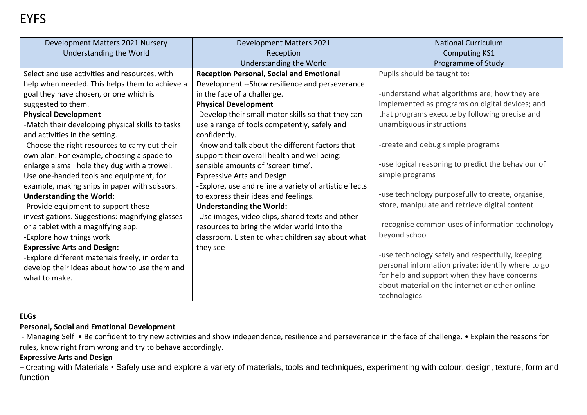| Development Matters 2021 Nursery                 | <b>Development Matters 2021</b>                        | <b>National Curriculum</b>                         |
|--------------------------------------------------|--------------------------------------------------------|----------------------------------------------------|
| Understanding the World                          | Reception                                              | <b>Computing KS1</b>                               |
|                                                  | Understanding the World                                | Programme of Study                                 |
| Select and use activities and resources, with    | <b>Reception Personal, Social and Emotional</b>        | Pupils should be taught to:                        |
| help when needed. This helps them to achieve a   | Development -- Show resilience and perseverance        |                                                    |
| goal they have chosen, or one which is           | in the face of a challenge.                            | -understand what algorithms are; how they are      |
| suggested to them.                               | <b>Physical Development</b>                            | implemented as programs on digital devices; and    |
| <b>Physical Development</b>                      | -Develop their small motor skills so that they can     | that programs execute by following precise and     |
| -Match their developing physical skills to tasks | use a range of tools competently, safely and           | unambiguous instructions                           |
| and activities in the setting.                   | confidently.                                           |                                                    |
| -Choose the right resources to carry out their   | -Know and talk about the different factors that        | -create and debug simple programs                  |
| own plan. For example, choosing a spade to       | support their overall health and wellbeing: -          |                                                    |
| enlarge a small hole they dug with a trowel.     | sensible amounts of 'screen time'.                     | -use logical reasoning to predict the behaviour of |
| Use one-handed tools and equipment, for          | <b>Expressive Arts and Design</b>                      | simple programs                                    |
| example, making snips in paper with scissors.    | -Explore, use and refine a variety of artistic effects |                                                    |
| <b>Understanding the World:</b>                  | to express their ideas and feelings.                   | -use technology purposefully to create, organise,  |
| -Provide equipment to support these              | <b>Understanding the World:</b>                        | store, manipulate and retrieve digital content     |
| investigations. Suggestions: magnifying glasses  | -Use images, video clips, shared texts and other       |                                                    |
| or a tablet with a magnifying app.               | resources to bring the wider world into the            | -recognise common uses of information technology   |
| -Explore how things work                         | classroom. Listen to what children say about what      | beyond school                                      |
| <b>Expressive Arts and Design:</b>               | they see                                               |                                                    |
| -Explore different materials freely, in order to |                                                        | -use technology safely and respectfully, keeping   |
| develop their ideas about how to use them and    |                                                        | personal information private; identify where to go |
| what to make.                                    |                                                        | for help and support when they have concerns       |
|                                                  |                                                        | about material on the internet or other online     |
|                                                  |                                                        | technologies                                       |

### **ELGs**

# **Personal, Social and Emotional Development**

- Managing Self • Be confident to try new activities and show independence, resilience and perseverance in the face of challenge. • Explain the reasons for rules, know right from wrong and try to behave accordingly.

## **Expressive Arts and Design**

– Creating with Materials • Safely use and explore a variety of materials, tools and techniques, experimenting with colour, design, texture, form and function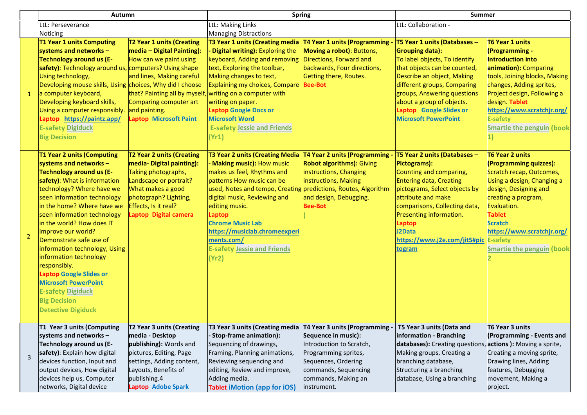|                | <b>Autumn</b>                                                                                                                                                                                                                                                                                                                                                                                                                                                                                                                                                     |                                                                                                                                                                                                        | <b>Spring</b>                                                                                                                                                                                                                                                                                                                                                                             |                                                                                                                                                                                                | <b>Summer</b>                                                                                                                                                                                                                                                                                              |                                                                                                                                                                                                                                                                                    |
|----------------|-------------------------------------------------------------------------------------------------------------------------------------------------------------------------------------------------------------------------------------------------------------------------------------------------------------------------------------------------------------------------------------------------------------------------------------------------------------------------------------------------------------------------------------------------------------------|--------------------------------------------------------------------------------------------------------------------------------------------------------------------------------------------------------|-------------------------------------------------------------------------------------------------------------------------------------------------------------------------------------------------------------------------------------------------------------------------------------------------------------------------------------------------------------------------------------------|------------------------------------------------------------------------------------------------------------------------------------------------------------------------------------------------|------------------------------------------------------------------------------------------------------------------------------------------------------------------------------------------------------------------------------------------------------------------------------------------------------------|------------------------------------------------------------------------------------------------------------------------------------------------------------------------------------------------------------------------------------------------------------------------------------|
|                | LtL: Perseverance                                                                                                                                                                                                                                                                                                                                                                                                                                                                                                                                                 |                                                                                                                                                                                                        | LtL: Making Links                                                                                                                                                                                                                                                                                                                                                                         |                                                                                                                                                                                                | LtL: Collaboration -                                                                                                                                                                                                                                                                                       |                                                                                                                                                                                                                                                                                    |
|                | Noticing                                                                                                                                                                                                                                                                                                                                                                                                                                                                                                                                                          |                                                                                                                                                                                                        | <b>Managing Distractions</b>                                                                                                                                                                                                                                                                                                                                                              |                                                                                                                                                                                                |                                                                                                                                                                                                                                                                                                            |                                                                                                                                                                                                                                                                                    |
|                | <b>T1 Year 1 units Computing</b><br>systems and networks $-$<br><b>Technology around us (E-</b><br>safety): Technology around us, computers? Using shape<br>Using technology,<br>Developing mouse skills, Using choices, Why did I choose<br>a computer keyboard,<br>Developing keyboard skills,<br>Using a computer responsibly. and painting.<br>Laptop https://paintz.app/<br><b>E-safety Digiduck</b><br><b>Big Decision</b>                                                                                                                                  | T2 Year 1 units (Creating<br>media - Digital Painting):<br>How can we paint using<br>and lines, Making careful<br>Comparing computer art<br><b>Laptop Microsoft Paint</b>                              | T3 Year 1 units (Creating media<br>Digital writing): Exploring the<br>keyboard, Adding and removing<br>text, Exploring the toolbar,<br>Making changes to text,<br>Explaining my choices, Compare<br>that? Painting all by myself, writing on a computer with<br>writing on paper.<br><b>Laptop Google Docs or</b><br><b>Microsoft Word</b><br><b>E-safety Jessie and Friends</b><br>(Yr1) | T4 Year 1 units (Programming -<br>Moving a robot): Buttons,<br>Directions, Forward and<br>backwards, Four directions,<br>Getting there, Routes.<br><b>Bee-Bot</b>                              | T5 Year 1 units (Databases -<br><b>Grouping data):</b><br>To label objects, To identify<br>that objects can be counted,<br>Describe an object, Making<br>different groups, Comparing<br>groups, Answering questions<br>about a group of objects.<br>Laptop Google Slides or<br><b>Microsoft PowerPoint</b> | T6 Year 1 units<br>(Programming -<br>Introduction into<br>animation): Comparing<br>tools, Joining blocks, Making<br>changes, Adding sprites,<br>Project design, Following a<br>design. Tablet<br>https://www.scratchjr.org/<br><b>E-safety</b><br><b>Smartie the penguin (book</b> |
| $\overline{2}$ | <b>T1 Year 2 units (Computing</b><br>systems and networks -<br><b>Technology around us (E-</b><br>safety): What is information<br>technology? Where have we<br>seen information technology<br>in the home? Where have we<br>seen information technology<br>in the world? How does IT<br>improve our world?<br>Demonstrate safe use of<br>information technology, Using<br>information technology<br>responsibly.<br><b>Laptop Google Slides or</b><br><b>Microsoft PowerPoint</b><br><b>E-safety Digiduck</b><br><b>Big Decision</b><br><b>Detective Digiduck</b> | T2 Year 2 units (Creating<br>media- Digital painting):<br>Taking photographs,<br>Landscape or portrait?<br>What makes a good<br>photograph? Lighting,<br>Effects, Is it real?<br>Laptop Digital camera | <b>T3 Year 2 units (Creating Media</b><br>Making music): How music<br>makes us feel, Rhythms and<br>patterns How music can be<br>used, Notes and tempo, Creating predictions, Routes, Algorithm<br>digital music, Reviewing and<br>editing music.<br>Laptop<br><b>Chrome Music Lab</b><br>https://musiclab.chromeexperi<br>ments.com/<br><b>E-safety Jessie and Friends</b><br>(Yr2)      | T4 Year 2 units (Programming -<br><b>Robot algorithms): Giving</b><br>instructions, Changing<br>instructions, Making<br>and design, Debugging.<br><b>Bee-Bot</b>                               | T5 Year 2 units (Databases -<br>Pictograms):<br>Counting and comparing,<br><b>Entering data, Creating</b><br>pictograms, Select objects by<br>attribute and make<br>comparisons, Collecting data,<br>Presenting information.<br>Laptop<br>J2Data<br>https://www.j2e.com/jit5#pic E-safety<br>togram        | <b>T6 Year 2 units</b><br>(Programming quizzes):<br>Scratch recap, Outcomes,<br>Using a design, Changing a<br>design, Designing and<br>creating a program,<br>Evaluation.<br><b>Tablet</b><br><b>Scratch</b><br>https://www.scratchjr.org/<br><b>Smartie the penguin (book</b>     |
| 3              | T1 Year 3 units (Computing<br>systems and networks -<br>Technology around us (E-<br>safety): Explain how digital<br>devices function, Input and<br>output devices, How digital<br>devices help us, Computer<br>networks, Digital device                                                                                                                                                                                                                                                                                                                           | T2 Year 3 units (Creating<br>media - Desktop<br>publishing): Words and<br>pictures, Editing, Page<br>settings, Adding content,<br>Layouts, Benefits of<br>publishing.4<br>Laptop Adobe Spark           | T3 Year 3 units (Creating media<br>- Stop-frame animation):<br>Sequencing of drawings,<br>Framing, Planning animations,<br>Reviewing sequencing and<br>editing, Review and improve,<br>Adding media.<br><b>Tablet iMotion (app for iOS)</b>                                                                                                                                               | T4 Year 3 units (Programming -<br>Sequence in music):<br>Introduction to Scratch,<br>Programming sprites,<br>Sequences, Ordering<br>commands, Sequencing<br>commands, Making an<br>instrument. | T5 Year 3 units (Data and<br>information - Branching<br>databases): Creating questions, actions ): Moving a sprite,<br>Making groups, Creating a<br>branching database,<br>Structuring a branching<br>database, Using a branching                                                                          | T6 Year 3 units<br>(Programming - Events and<br>Creating a moving sprite,<br>Drawing lines, Adding<br>features, Debugging<br>movement, Making a<br>project.                                                                                                                        |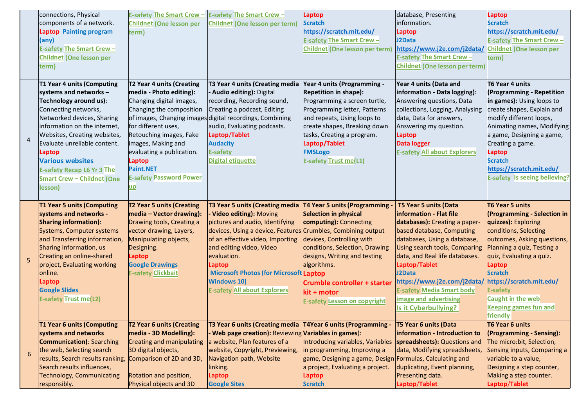|                | connections, Physical                                          | <b>E-safety The Smart Crew-</b>  | <b>E-safety The Smart Crew-</b>                              | Laptop                                                   | database, Presenting                             | Laptop                                              |
|----------------|----------------------------------------------------------------|----------------------------------|--------------------------------------------------------------|----------------------------------------------------------|--------------------------------------------------|-----------------------------------------------------|
|                | components of a network.                                       | <b>Childnet (One lesson per</b>  | <b>Childnet (One lesson per term)</b>                        | <b>Scratch</b>                                           | information.                                     | <b>Scratch</b>                                      |
|                | <b>Laptop</b> Painting program                                 | term)                            |                                                              | https://scratch.mit.edu/                                 | Laptop                                           | https://scratch.mit.edu/                            |
|                | (any)                                                          |                                  |                                                              | <b>E-safety The Smart Crew-</b>                          | J2Data                                           | <b>E-safety The Smart Crew-</b>                     |
|                | <b>E-safety The Smart Crew-</b>                                |                                  |                                                              | Childnet (One lesson per term)                           | https://www.j2e.com/j2data/                      | <b>Childnet (One lesson per</b>                     |
|                | <b>Childnet (One lesson per</b>                                |                                  |                                                              |                                                          | <b>E-safety The Smart Crew-</b>                  | term)                                               |
|                | term)                                                          |                                  |                                                              |                                                          | <b>Childnet (One lesson per term)</b>            |                                                     |
|                | T1 Year 4 units (Computing                                     | T2 Year 4 units (Creating        | T3 Year 4 units (Creating media                              | <b>Year 4 units (Programming -</b>                       | Year 4 units (Data and                           | T6 Year 4 units                                     |
|                | systems and networks $-$                                       | media - Photo editing):          | - Audio editing): Digital                                    | <b>Repetition in shape):</b>                             | information - Data logging):                     | (Programming - Repetition                           |
|                | Technology around us):                                         | Changing digital images,         | recording, Recording sound,                                  | Programming a screen turtle,                             | Answering questions, Data                        | in games): Using loops to                           |
|                | Connecting networks,                                           | Changing the composition         | Creating a podcast, Editing                                  | Programming letter, Patterns                             | collections, Logging, Analysing                  | create shapes, Explain and                          |
|                | Networked devices, Sharing                                     |                                  | of images, Changing images digital recordings, Combining     | and repeats, Using loops to                              | data, Data for answers,                          | modify different loops,                             |
|                | information on the internet,                                   | for different uses,              | audio, Evaluating podcasts.                                  | create shapes, Breaking down                             | Answering my question.                           | Animating names, Modifying                          |
| $\overline{4}$ | Websites, Creating websites,                                   | Retouching images, Fake          | Laptop/Tablet                                                | tasks, Creating a program.                               | Laptop                                           | a game, Designing a game,                           |
|                | Evaluate unreliable content.                                   | images, Making and               | <b>Audacity</b>                                              | Laptop/Tablet                                            | <b>Data logger</b>                               | Creating a game.                                    |
|                | <b>Laptop</b>                                                  | evaluating a publication.        | <b>E-safety</b>                                              | <b>FMSLogo</b>                                           | <b>E-safety All about Explorers</b>              | <b>Laptop</b>                                       |
|                | <b>Various websites</b>                                        | <b>Laptop</b>                    | <b>Digital etiquette</b>                                     | <b>E-safety Trust me(L1)</b>                             |                                                  | <b>Scratch</b>                                      |
|                | <b>E-safety Recap L6 Yr 3 The</b>                              | <b>Paint.NET</b>                 |                                                              |                                                          |                                                  | https://scratch.mit.edu/                            |
|                | <b>Smart Crew - Childnet (One</b>                              | <b>E-safety Password Power</b>   |                                                              |                                                          |                                                  | <b>E-safety Is seeing believing?</b>                |
|                | lesson)                                                        | $\mathbf{u}$                     |                                                              |                                                          |                                                  |                                                     |
|                |                                                                |                                  |                                                              |                                                          |                                                  |                                                     |
|                | <b>T1 Year 5 units (Computing</b>                              | T2 Year 5 units (Creating        | T3 Year 5 units (Creating media                              | <b>T4 Year 5 units (Programming</b>                      | T5 Year 5 units (Data                            | <b>T6 Year 5 units</b>                              |
|                | systems and networks -                                         | media - Vector drawing):         | - Video editing): Moving                                     | <b>Selection in physical</b>                             | information - Flat file                          | <b>(Programming - Selection in</b>                  |
|                | <b>Sharing information):</b>                                   | Drawing tools, Creating a        | pictures and audio, Identifying                              | computing): Connecting                                   | databases): Creating a paper-                    | quizzes): Exploring                                 |
|                | Systems, Computer systems                                      | vector drawing, Layers,          | devices, Using a device, Features Crumbles, Combining output |                                                          | based database, Computing                        | conditions, Selecting                               |
|                | and Transferring information,                                  | Manipulating objects,            | of an effective video, Importing                             | devices, Controlling with                                | databases, Using a database,                     | outcomes, Asking questions,                         |
|                | Sharing information, us                                        | Designing.                       | and editing video, Video                                     | conditions, Selection, Drawing                           | Using search tools, Comparing                    | Planning a quiz, Testing a                          |
|                | Creating an online-shared                                      | <b>Laptop</b>                    | evaluation.                                                  | designs, Writing and testing                             | data, and Real life databases.                   | quiz, Evaluating a quiz.                            |
|                | project, Evaluating working                                    | <b>Google Drawings</b>           | Laptop                                                       | algorithms.                                              | Laptop/Tablet                                    | <b>Laptop</b>                                       |
|                | online.                                                        | <b>E-safety Clickbait</b>        | <b>Microsoft Photos (for Microsoft Laptop</b>                |                                                          | J2Data                                           | <b>Scratch</b>                                      |
|                | <b>Laptop</b>                                                  |                                  | <b>Windows 10)</b>                                           | <b>Crumble controller + starter</b>                      | https://www.j2e.com/j2data/                      | https://scratch.mit.edu/                            |
|                | <b>Google Slides</b>                                           |                                  | <b>E-safety All about Explorers</b>                          | kit + motor                                              | <b>E-safety Media Smart body</b>                 | <b>E-safety</b>                                     |
|                | <b>E-safety Trust me(L2)</b>                                   |                                  |                                                              | <b>E-safety Lesson on copyright</b>                      | <b>image and advertising</b>                     | Caught in the web                                   |
|                |                                                                |                                  |                                                              |                                                          | Is it Cyberbullying?                             | <b>Keeping games fun and</b>                        |
|                |                                                                |                                  |                                                              |                                                          |                                                  | friendly                                            |
|                | <b>T1 Year 6 units (Computing</b>                              | <b>T2 Year 6 units (Creating</b> | T3 Year 6 units (Creating media                              | T4Year 6 units (Programming -                            | T5 Year 6 units (Data                            | T6 Year 6 units                                     |
|                | systems and networks                                           | media - 3D Modelling):           | Web page creation): Reviewing Variables in games):           |                                                          | information - Introduction to                    | (Programming - Sensing):                            |
|                | <b>Communication</b> ): Searching                              | <b>Creating and manipulating</b> | a website, Plan features of a                                | Introducing variables, Variables                         | spreadsheets): Questions and                     | The micro:bit, Selection,                           |
| 6              | the web, Selecting search                                      | <b>BD</b> digital objects,       | website, Copyright, Previewing,                              | in programming, Improving a                              | data, Modifying spreadsheets,                    | Sensing inputs, Comparing a                         |
|                | results, Search results ranking,                               | Comparison of 2D and 3D,         | Navigation path, Website                                     | game, Designing a game, Design Formulas, Calculating and |                                                  | variable to a value,                                |
| $\overline{5}$ | Search results influences,<br><b>Technology, Communicating</b> | Rotation and position,           | linking.<br><b>Laptop</b>                                    | a project, Evaluating a project.<br><b>Laptop</b>        | duplicating, Event planning,<br>Presenting data. | Designing a step counter,<br>Making a step counter. |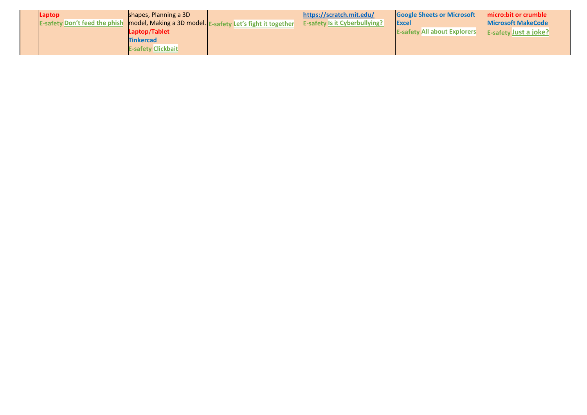| Laptop                               | shapes, Planning a 3D                                       | https://scratch.mit.edu/             | <b>Google Sheets or Microsoft</b>   | micro:bit or crumble         |
|--------------------------------------|-------------------------------------------------------------|--------------------------------------|-------------------------------------|------------------------------|
| <b>E-safety Don't feed the phish</b> | model, Making a 3D model. E-sa<br>y Let's fight it together | <b>E-safety Is it Cyberbullying?</b> | <b>Excel</b>                        | <b>Microsoft MakeCode</b>    |
|                                      | Laptop/Tablet                                               |                                      | <b>E-safety All about Explorers</b> | <b>E-safety Just a joke?</b> |
|                                      | <b>Tinkercad</b>                                            |                                      |                                     |                              |
|                                      | <b>E-safety Clickbait</b>                                   |                                      |                                     |                              |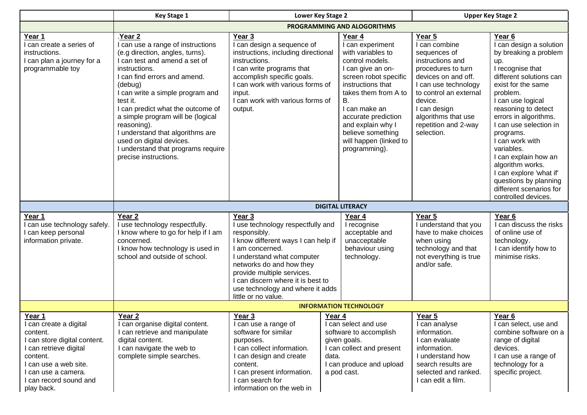|                                                                                                                                                                                                          | <b>Key Stage 1</b>                                                                                                                                                                                                                                                                                                                                                                                                                                  | Lower Key Stage 2                                                                                                                                                                                                                                                                                             |                                                                                                                                                                                                                                                                                                         |                                                                                                                                                                                                                                                    | <b>Upper Key Stage 2</b>                                                                                                                                                                                                                                                                                                                                                                                                                                     |  |
|----------------------------------------------------------------------------------------------------------------------------------------------------------------------------------------------------------|-----------------------------------------------------------------------------------------------------------------------------------------------------------------------------------------------------------------------------------------------------------------------------------------------------------------------------------------------------------------------------------------------------------------------------------------------------|---------------------------------------------------------------------------------------------------------------------------------------------------------------------------------------------------------------------------------------------------------------------------------------------------------------|---------------------------------------------------------------------------------------------------------------------------------------------------------------------------------------------------------------------------------------------------------------------------------------------------------|----------------------------------------------------------------------------------------------------------------------------------------------------------------------------------------------------------------------------------------------------|--------------------------------------------------------------------------------------------------------------------------------------------------------------------------------------------------------------------------------------------------------------------------------------------------------------------------------------------------------------------------------------------------------------------------------------------------------------|--|
|                                                                                                                                                                                                          | PROGRAMMING AND ALOGORITHMS                                                                                                                                                                                                                                                                                                                                                                                                                         |                                                                                                                                                                                                                                                                                                               |                                                                                                                                                                                                                                                                                                         |                                                                                                                                                                                                                                                    |                                                                                                                                                                                                                                                                                                                                                                                                                                                              |  |
| Year 1<br>I can create a series of<br>instructions.<br>I can plan a journey for a<br>programmable toy                                                                                                    | Year 2<br>I can use a range of instructions<br>(e.g direction, angles, turns).<br>I can test and amend a set of<br>instructions.<br>I can find errors and amend.<br>(debug)<br>I can write a simple program and<br>test it.<br>I can predict what the outcome of<br>a simple program will be (logical<br>reasoning).<br>I understand that algorithms are<br>used on digital devices.<br>I understand that programs require<br>precise instructions. | Year 3<br>I can design a sequence of<br>instructions, including directional<br>instructions.<br>I can write programs that<br>accomplish specific goals.<br>I can work with various forms of<br>input.<br>I can work with various forms of<br>output.                                                          | Year 4<br>I can experiment<br>with variables to<br>control models.<br>I can give an on-<br>screen robot specific<br>instructions that<br>takes them from A to<br><b>B.</b><br>I can make an<br>accurate prediction<br>and explain why I<br>believe something<br>will happen (linked to<br>programming). | Year 5<br>I can combine<br>sequences of<br>instructions and<br>procedures to turn<br>devices on and off.<br>I can use technology<br>to control an external<br>device.<br>I can design<br>algorithms that use<br>repetition and 2-way<br>selection. | Year <sub>6</sub><br>I can design a solution<br>by breaking a problem<br>up.<br>I recognise that<br>different solutions can<br>exist for the same<br>problem.<br>I can use logical<br>reasoning to detect<br>errors in algorithms.<br>I can use selection in<br>programs.<br>I can work with<br>variables.<br>I can explain how an<br>algorithm works.<br>I can explore 'what if'<br>questions by planning<br>different scenarios for<br>controlled devices. |  |
|                                                                                                                                                                                                          |                                                                                                                                                                                                                                                                                                                                                                                                                                                     |                                                                                                                                                                                                                                                                                                               | <b>DIGITAL LITERACY</b>                                                                                                                                                                                                                                                                                 |                                                                                                                                                                                                                                                    |                                                                                                                                                                                                                                                                                                                                                                                                                                                              |  |
| Year 1<br>I can use technology safely.<br>I can keep personal<br>information private.                                                                                                                    | Year <sub>2</sub><br>I use technology respectfully.<br>I know where to go for help if I am<br>concerned.<br>I know how technology is used in<br>school and outside of school.                                                                                                                                                                                                                                                                       | Year 3<br>I use technology respectfully and<br>responsibly.<br>I know different ways I can help if<br>I am concerned.<br>I understand what computer<br>networks do and how they<br>provide multiple services.<br>I can discern where it is best to<br>use technology and where it adds<br>little or no value. | Year 4<br>I recognise<br>acceptable and<br>unacceptable<br>behaviour using<br>technology.                                                                                                                                                                                                               | Year 5<br>I understand that you<br>have to make choices<br>when using<br>technology and that<br>not everything is true<br>and/or safe.                                                                                                             | Year 6<br>I can discuss the risks<br>of online use of<br>technology.<br>I can identify how to<br>minimise risks.                                                                                                                                                                                                                                                                                                                                             |  |
|                                                                                                                                                                                                          |                                                                                                                                                                                                                                                                                                                                                                                                                                                     |                                                                                                                                                                                                                                                                                                               | <b>INFORMATION TECHNOLOGY</b>                                                                                                                                                                                                                                                                           |                                                                                                                                                                                                                                                    |                                                                                                                                                                                                                                                                                                                                                                                                                                                              |  |
| Year 1<br>can create a digital<br>content.<br>I can store digital content.<br>I can retrieve digital<br>content.<br>I can use a web site.<br>I can use a camera.<br>I can record sound and<br>play back. | Year <sub>2</sub><br>can organise digital content.<br>I can retrieve and manipulate<br>digital content.<br>I can navigate the web to<br>complete simple searches.                                                                                                                                                                                                                                                                                   | Year <sub>3</sub><br>I can use a range of<br>software for similar<br>purposes.<br>I can collect information.<br>I can design and create<br>content.<br>I can present information.<br>I can search for<br>information on the web in                                                                            | Year 4<br>I can select and use<br>software to accomplish<br>given goals.<br>I can collect and present<br>data.<br>I can produce and upload<br>a pod cast.                                                                                                                                               | Year 5<br>I can analyse<br>information.<br>I can evaluate<br>information.<br>I understand how<br>search results are<br>selected and ranked.<br>I can edit a film.                                                                                  | Year <sub>6</sub><br>l can select, use and<br>combine software on a<br>range of digital<br>devices.<br>I can use a range of<br>technology for a<br>specific project.                                                                                                                                                                                                                                                                                         |  |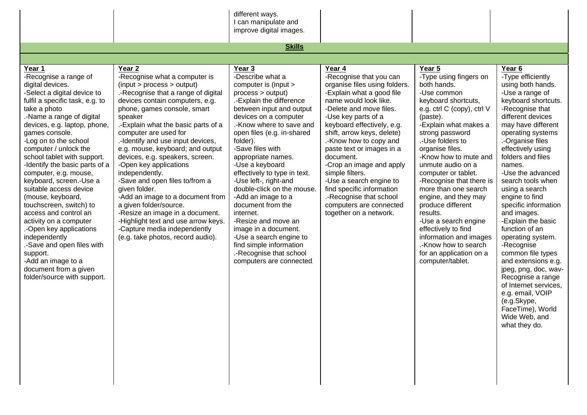|                                                                                                                                                                                                                                                                                                                                                                                                                                                                                                                                                                                                                                                                                             |                                                                                                                                                                                                                                                                                                                                                                                                                                                                                                                                                                                                                                                                                    | different ways.<br>I can manipulate and                                                                                                                                                                                                                                                                                                                                                                                                                                                                                                                                                                |                                                                                                                                                                                                                                                                                                                                                                                                                                                                                                   |                                                                                                                                                                                                                                                                                                                                                                                                                                                                                                                                                      |                                                                                                                                                                                                                                                                                                                                                                                                                                                                                                                                                                                                                                                                  |
|---------------------------------------------------------------------------------------------------------------------------------------------------------------------------------------------------------------------------------------------------------------------------------------------------------------------------------------------------------------------------------------------------------------------------------------------------------------------------------------------------------------------------------------------------------------------------------------------------------------------------------------------------------------------------------------------|------------------------------------------------------------------------------------------------------------------------------------------------------------------------------------------------------------------------------------------------------------------------------------------------------------------------------------------------------------------------------------------------------------------------------------------------------------------------------------------------------------------------------------------------------------------------------------------------------------------------------------------------------------------------------------|--------------------------------------------------------------------------------------------------------------------------------------------------------------------------------------------------------------------------------------------------------------------------------------------------------------------------------------------------------------------------------------------------------------------------------------------------------------------------------------------------------------------------------------------------------------------------------------------------------|---------------------------------------------------------------------------------------------------------------------------------------------------------------------------------------------------------------------------------------------------------------------------------------------------------------------------------------------------------------------------------------------------------------------------------------------------------------------------------------------------|------------------------------------------------------------------------------------------------------------------------------------------------------------------------------------------------------------------------------------------------------------------------------------------------------------------------------------------------------------------------------------------------------------------------------------------------------------------------------------------------------------------------------------------------------|------------------------------------------------------------------------------------------------------------------------------------------------------------------------------------------------------------------------------------------------------------------------------------------------------------------------------------------------------------------------------------------------------------------------------------------------------------------------------------------------------------------------------------------------------------------------------------------------------------------------------------------------------------------|
|                                                                                                                                                                                                                                                                                                                                                                                                                                                                                                                                                                                                                                                                                             |                                                                                                                                                                                                                                                                                                                                                                                                                                                                                                                                                                                                                                                                                    | improve digital images.                                                                                                                                                                                                                                                                                                                                                                                                                                                                                                                                                                                |                                                                                                                                                                                                                                                                                                                                                                                                                                                                                                   |                                                                                                                                                                                                                                                                                                                                                                                                                                                                                                                                                      |                                                                                                                                                                                                                                                                                                                                                                                                                                                                                                                                                                                                                                                                  |
|                                                                                                                                                                                                                                                                                                                                                                                                                                                                                                                                                                                                                                                                                             |                                                                                                                                                                                                                                                                                                                                                                                                                                                                                                                                                                                                                                                                                    | <b>Skills</b>                                                                                                                                                                                                                                                                                                                                                                                                                                                                                                                                                                                          |                                                                                                                                                                                                                                                                                                                                                                                                                                                                                                   |                                                                                                                                                                                                                                                                                                                                                                                                                                                                                                                                                      |                                                                                                                                                                                                                                                                                                                                                                                                                                                                                                                                                                                                                                                                  |
|                                                                                                                                                                                                                                                                                                                                                                                                                                                                                                                                                                                                                                                                                             |                                                                                                                                                                                                                                                                                                                                                                                                                                                                                                                                                                                                                                                                                    |                                                                                                                                                                                                                                                                                                                                                                                                                                                                                                                                                                                                        |                                                                                                                                                                                                                                                                                                                                                                                                                                                                                                   |                                                                                                                                                                                                                                                                                                                                                                                                                                                                                                                                                      |                                                                                                                                                                                                                                                                                                                                                                                                                                                                                                                                                                                                                                                                  |
| Year 1<br>-Recognise a range of<br>digital devices.<br>-Select a digital device to<br>fulfil a specific task, e.g. to<br>take a photo<br>.-Name a range of digital<br>devices, e.g. laptop, phone,<br>games console.<br>-Log on to the school<br>computer / unlock the<br>school tablet with support.<br>-Identify the basic parts of a<br>computer, e.g. mouse,<br>keyboard, screen.-Use a<br>suitable access device<br>(mouse, keyboard,<br>touchscreen, switch) to<br>access and control an<br>activity on a computer<br>-Open key applications<br>independently<br>.-Save and open files with<br>support.<br>-Add an image to a<br>document from a given<br>folder/source with support. | Year 2<br>-Recognise what a computer is<br>(input > process > output)<br>.- Recognise that a range of digital<br>devices contain computers, e.g.<br>phone, games console, smart<br>speaker<br>.-Explain what the basic parts of a<br>computer are used for<br>.-Identify and use input devices,<br>e.g. mouse, keyboard; and output<br>devices, e.g. speakers, screen.<br>-Open key applications<br>independently.<br>-Save and open files to/from a<br>given folder.<br>-Add an image to a document from<br>a given folder/source.<br>-Resize an image in a document.<br>-Highlight text and use arrow keys.<br>-Capture media independently<br>(e.g. take photos, record audio). | Year 3<br>-Describe what a<br>computer is (input ><br>process > output)<br>.-Explain the difference<br>between input and output<br>devices on a computer<br>.-Know where to save and<br>open files (e.g. in-shared<br>folder).<br>-Save files with<br>appropriate names.<br>-Use a keyboard<br>effectively to type in text.<br>-Use left-, right-and<br>double-click on the mouse.<br>-Add an image to a<br>document from the<br>internet.<br>-Resize and move an<br>image in a document.<br>-Use a search engine to<br>find simple information<br>.-Recognise that school<br>computers are connected. | Year 4<br>-Recognise that you can<br>organise files using folders.<br>-Explain what a good file<br>name would look like.<br>-Delete and move files.<br>-Use key parts of a<br>keyboard effectively, e.g.<br>shift, arrow keys, delete)<br>.-Know how to copy and<br>paste text or images in a<br>document.<br>-Crop an image and apply<br>simple filters.<br>-Use a search engine to<br>find specific information<br>.-Recognise that school<br>computers are connected<br>together on a network. | Year 5<br>-Type using fingers on<br>both hands.<br>-Use common<br>keyboard shortcuts,<br>e.g. ctrl C (copy), ctrl V<br>(paste).<br>-Explain what makes a<br>strong password<br>.-Use folders to<br>organise files.<br>-Know how to mute and<br>unmute audio on a<br>computer or tablet.<br>-Recognise that there is<br>more than one search<br>engine, and they may<br>produce different<br>results.<br>-Use a search engine<br>effectively to find<br>information and images<br>.-Know how to search<br>for an application on a<br>computer/tablet. | Year 6<br>-Type efficiently<br>using both hands.<br>-Use a range of<br>keyboard shortcuts.<br>-Recognise that<br>different devices<br>may have different<br>operating systems<br>.-Organise files<br>effectively using<br>folders and files<br>names.<br>-Use the advanced<br>search tools when<br>using a search<br>engine to find<br>specific information<br>and images.<br>-Explain the basic<br>function of an<br>operating system.<br>-Recognise<br>common file types<br>and extensions e.g.<br>jpeg, png, doc, wav-<br>Recognise a range<br>of Internet services,<br>e.g. email, VOIP<br>(e.g.Skype,<br>FaceTime), World<br>Wide Web, and<br>what they do. |